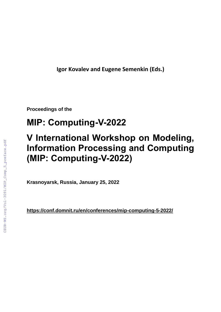**Igor Kovalev and Eugene Semenkin (Eds.)**

**Proceedings of the**

# **MIP: Computing-V-2022**

## **V International Workshop on Modeling, Information Processing and Computing (MIP: Computing-V-2022)**

**Krasnoyarsk, Russia, January 25, 2022**

**<https://conf.domnit.ru/en/conferences/mip-computing-5-2022/>**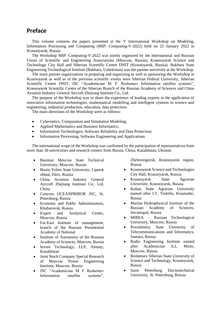### **Preface**

This volume contains the papers presented at the V International Workshop on Modeling, Information Processing and Computing (MIP: Computing-V-2022) held on 25 January 2022 in Krasnoyarsk, Russia.

The Workshop MIP: Computing-V-2022 was jointly organized by the International and Russian Union of Scientific and Engineering Associations (Moscow, Russia), Krasnoyarsk Science and Technology City Hall and Siberian Scientific Centre DNIT (Krasnoyarsk, Russia). Bukhara State Engineering Technological Institute (Bukhara, Uzbekistan) was the partner university at the Workshop.

The main partner organizations in preparing and organizing as well in sponsoring the Workshop in Krasnoyarsk as well as of the previous scientific events were Siberian Federal University, Siberian Scientific Centre DNIT, JSC "Academician M. F. Reshetnev Information satellite systems", Krasnoyarsk Scientific Centre of the Siberian Branch of the Russian Academy of Sciences and China Aviation Industry General Aircraft Zhejiang Institute Co., Ltd.

The purpose of the Workshop was to share the experience of leading experts in the application of innovative information technologies, mathematical modelling and intelligent systems in science and engineering, industrial production, education, data protection.

The main directions of the Workshop were as follows:

- Cybernetics, Computation and Simulation Modeling;
- Applied Mathematics and Business Informatics;
- Information Technologies, Software Reliability and Data Protection;
- Information Processing, Software Engineering and Applications.

The international scope of the Workshop was confirmed by the participation of representatives from more than 30 universities and research centers from Russia, China, Kazakhstan, Ukraine.

- Bauman Moscow State Technical University, Moscow, Russia
- Bunin Yelets State University, Lipetsk oblast, Elets, Russia
- China Aviation Industry General Aircraft Zhejiang Institute Co., Ltd, China
- Concern OCEANPRIBOR JSC, St. Petersburg, Russia
- Economy and Public Administration, Khabarovsk, Russia
- Expert and Analytical Center, Moscow, Russia
- Far-East Institute of management, branch of the Russian Presidential Academy of National
- Institute of Astronomy of the Russian Academy of Sciences, Moscow, Russia
- Invent Technology; LLP, Almaty, Kazakhstan
- Joint Stock Company Special Research of Moscow Power Engineering Institute, Moscow, Russia
- JSC "Academician M F Reshetnev Information satellite systems",

Zheleznogorsk, Krasnoyarsk region, Russia

- Krasnoyarsk Science and Technologies City Hall, Krasnoyarsk, Russia
- Krasnoyarsk State Agrarian University, Krasnoyarsk, Russia
- Kuban State Agrarian University named after I.T. Trubilin, Krasnodar, Russia
- Marine Hydrophysical Institute of the Russian Academy of Sciences, Sevastopol, Russia
- MIREA Russian Technological University, Moscow, Russia
- Povolzhskiy State University of Telecommunications and Informatics, Samara, Russia
- Radio Engineering Institute named after Academician A.L. Mints, Moscow, Russia
- Reshetnev Siberian State University of Science and Technology, Krasnoyarsk, Russia
- Saint Petersburg Electrotechnical University, St. Petersburg, Russia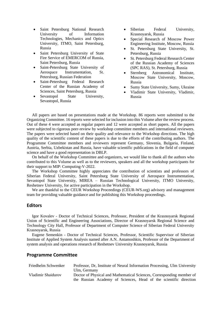- Saint Petersburg National Research University of Information Technologies, Mechanics and Optics University, ITMO, Saint Petersburg, Russia
- Saint Petersburg University of State Fire Service of EMERCOM of Russia, Saint Petersburg, Russia
- Saint-Petersburg State University of Aerospace Instrumentation, St. Petersburg, Russian Federation
- Saint-Petersburg Federal Research Center of the Russian Academy of Sciences, Saint Petersburg, Russia
- Sevastopol State University, Sevastopol, Russia
- Siberian Federal University, Krasnoyarsk, Russia
- Special Research of Moscow Power Engineering Institute, Moscow, Russia
- St. Petersburg State University, St. Petersburg, Russia
- St. Petersburg Federal Research Center of the Russian Academy of Sciences (SPC RAS), St. Petersburg, Russia
- Sternberg Astronomical Institute, Moscow State University, Moscow, Russia
- Sumy State University, Sumy, Ukraine
- Vladimir State University, Vladimir, Russia

All papers are based on presentations made at the Workshop. 86 reports were submitted to the Organizing Committee. 16 reports were selected for inclusion into this Volume after the review process. Out of these 4 were accepted as regular papers and 12 were accepted as short papers. All the papers were subjected to rigorous peer-review by workshop committee members and international reviewers. The papers were selected based on their quality and relevance to the Workshop directions. The high quality of the scientific content of these papers is due to the efforts of the contributing authors. The Programme Committee members and reviewers represent Germany, Slovenia, Bulgaria, Finland, Austria, Serbia, Uzbekistan and Russia, have valuable scientific publications in the field of computer science and have a good representation in DBLP.

On behalf of the Workshop Committee and organizers, we would like to thank all the authors who contributed to this Volume as well as to the reviewers, speakers and all the workshop participants for their support to MIP: Computing-V-2022.

The Workshop Committee highly appreciates the contribution of scientists and professors of Siberian Federal University, Saint Petersburg State University of Aerospace Instrumentation, Sevastopol State University, MIREA – Russian Technological University, ITMO University, Reshetnev University, for active participation in the Workshop.

We are thankful to the CEUR Workshop Proceedings (CEUR-WS.org) advisory and management team for providing valuable guidance and for publishing this Workshop proceedings.

#### **Editors**

Igor Kovalev - Doctor of Technical Sciences, Professor, President of the Krasnoyarsk Regional Union of Scientific and Engineering Associations, Director of Krasnoyarsk Regional Science and Technology City Hall, Professor of Department of Computer Science of Siberian Federal University Krasnoyarsk, Russia

Eugene Semenkin - Doctor of Technical Sciences, Professor, Scientific Supervisor of Siberian Institute of Applied System Analysis named after A.N. Antamoshkin, Professor of the Department of system analysis and operations research of Reshetnev University Krasnoyarsk, Russia

#### **Programme Committee**

| Friedhelm Schwenker | Professor, Dr. Institute of Neural Information Processing, Ulm University |
|---------------------|---------------------------------------------------------------------------|
|                     | Ulm, Germany                                                              |
| Vladimir Shaidurov  | Doctor of Physical and Mathematical Sciences, Corresponding member of     |
|                     | the Russian Academy of Sciences, Head of the scientific direction         |